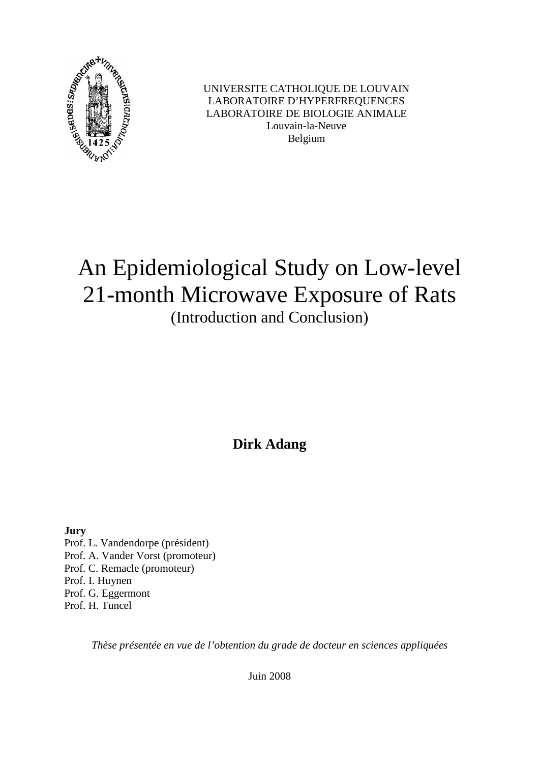

UNIVERSITE CATHOLIQUE DE LOUVAIN LABORATOIRE D'HYPERFREQUENCES LABORATOIRE DE BIOLOGIE ANIMALE Louvain-la-Neuve Belgium

### An Epidemiological Study on Low-level 21-month Microwave Exposure of Rats (Introduction and Conclusion)

**Dirk Adang** 

**Jury**  Prof. L. Vandendorpe (président) Prof. A. Vander Vorst (promoteur) Prof. C. Remacle (promoteur) Prof. I. Huynen Prof. G. Eggermont Prof. H. Tuncel

*Thèse présentée en vue de l'obtention du grade de docteur en sciences appliquées* 

Juin 2008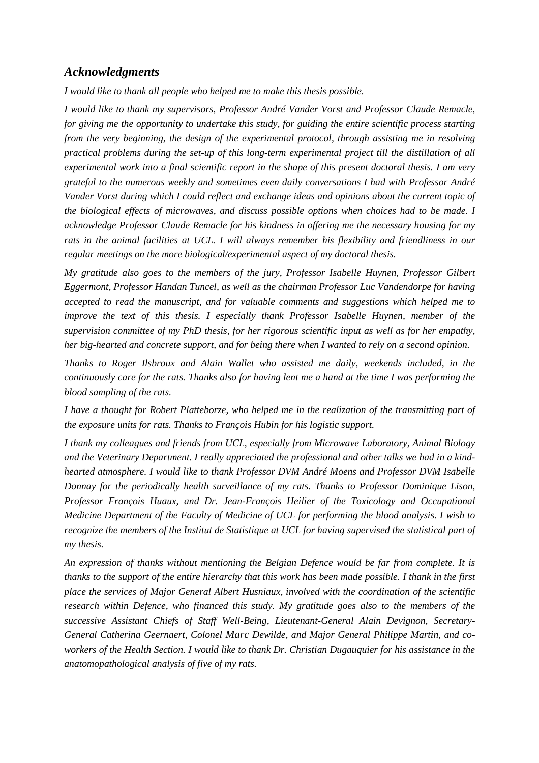#### *Acknowledgments*

*I would like to thank all people who helped me to make this thesis possible.* 

*I would like to thank my supervisors, Professor André Vander Vorst and Professor Claude Remacle, for giving me the opportunity to undertake this study, for guiding the entire scientific process starting from the very beginning, the design of the experimental protocol, through assisting me in resolving practical problems during the set-up of this long-term experimental project till the distillation of all experimental work into a final scientific report in the shape of this present doctoral thesis. I am very grateful to the numerous weekly and sometimes even daily conversations I had with Professor André Vander Vorst during which I could reflect and exchange ideas and opinions about the current topic of the biological effects of microwaves, and discuss possible options when choices had to be made. I acknowledge Professor Claude Remacle for his kindness in offering me the necessary housing for my rats in the animal facilities at UCL. I will always remember his flexibility and friendliness in our regular meetings on the more biological/experimental aspect of my doctoral thesis.* 

*My gratitude also goes to the members of the jury, Professor Isabelle Huynen, Professor Gilbert Eggermont, Professor Handan Tuncel, as well as the chairman Professor Luc Vandendorpe for having accepted to read the manuscript, and for valuable comments and suggestions which helped me to improve the text of this thesis. I especially thank Professor Isabelle Huynen, member of the supervision committee of my PhD thesis, for her rigorous scientific input as well as for her empathy, her big-hearted and concrete support, and for being there when I wanted to rely on a second opinion.* 

*Thanks to Roger Ilsbroux and Alain Wallet who assisted me daily, weekends included, in the continuously care for the rats. Thanks also for having lent me a hand at the time I was performing the blood sampling of the rats.* 

*I have a thought for Robert Platteborze, who helped me in the realization of the transmitting part of the exposure units for rats. Thanks to François Hubin for his logistic support.* 

*I thank my colleagues and friends from UCL, especially from Microwave Laboratory, Animal Biology and the Veterinary Department. I really appreciated the professional and other talks we had in a kindhearted atmosphere. I would like to thank Professor DVM André Moens and Professor DVM Isabelle Donnay for the periodically health surveillance of my rats. Thanks to Professor Dominique Lison, Professor François Huaux, and Dr. Jean-François Heilier of the Toxicology and Occupational Medicine Department of the Faculty of Medicine of UCL for performing the blood analysis. I wish to recognize the members of the Institut de Statistique at UCL for having supervised the statistical part of my thesis.* 

*An expression of thanks without mentioning the Belgian Defence would be far from complete. It is thanks to the support of the entire hierarchy that this work has been made possible. I thank in the first place the services of Major General Albert Husniaux, involved with the coordination of the scientific research within Defence, who financed this study. My gratitude goes also to the members of the successive Assistant Chiefs of Staff Well-Being, Lieutenant-General Alain Devignon, Secretary-General Catherina Geernaert, Colonel Marc Dewilde, and Major General Philippe Martin, and coworkers of the Health Section. I would like to thank Dr. Christian Dugauquier for his assistance in the anatomopathological analysis of five of my rats.*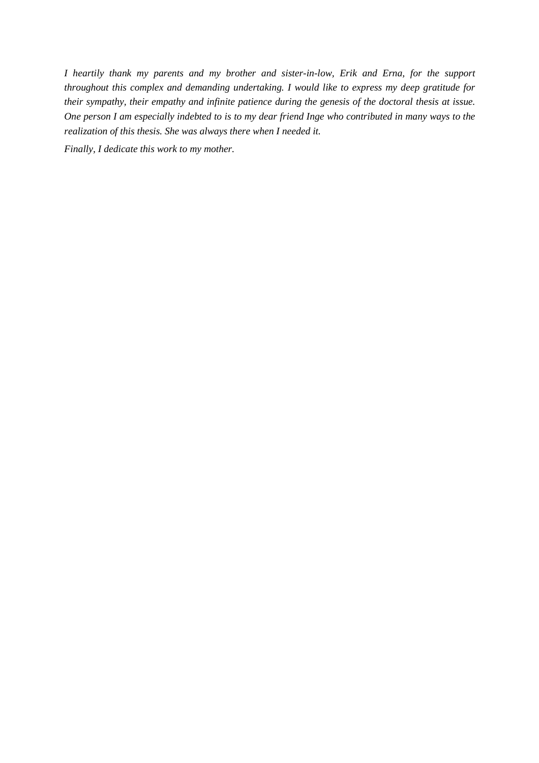*I heartily thank my parents and my brother and sister-in-low, Erik and Erna, for the support throughout this complex and demanding undertaking. I would like to express my deep gratitude for their sympathy, their empathy and infinite patience during the genesis of the doctoral thesis at issue. One person I am especially indebted to is to my dear friend Inge who contributed in many ways to the realization of this thesis. She was always there when I needed it.* 

*Finally, I dedicate this work to my mother.*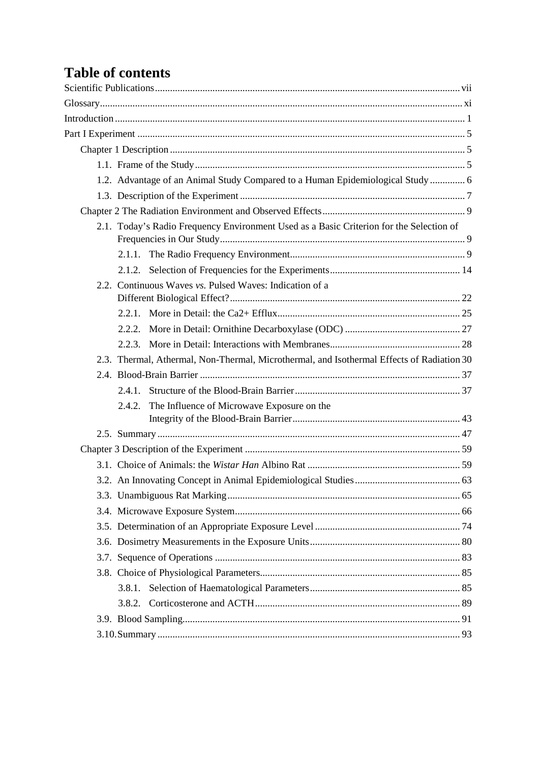# **Table of contents**

|           | 1.2. Advantage of an Animal Study Compared to a Human Epidemiological Study  6            |  |
|-----------|-------------------------------------------------------------------------------------------|--|
|           |                                                                                           |  |
|           |                                                                                           |  |
|           | 2.1. Today's Radio Frequency Environment Used as a Basic Criterion for the Selection of   |  |
|           |                                                                                           |  |
|           |                                                                                           |  |
|           | 2.2. Continuous Waves vs. Pulsed Waves: Indication of a                                   |  |
|           |                                                                                           |  |
|           |                                                                                           |  |
|           |                                                                                           |  |
|           | 2.3. Thermal, Athermal, Non-Thermal, Microthermal, and Isothermal Effects of Radiation 30 |  |
|           |                                                                                           |  |
| $2.4.1$ . |                                                                                           |  |
| 2.4.2.    | The Influence of Microwave Exposure on the                                                |  |
|           |                                                                                           |  |
|           |                                                                                           |  |
|           |                                                                                           |  |
|           |                                                                                           |  |
|           |                                                                                           |  |
|           |                                                                                           |  |
|           |                                                                                           |  |
|           |                                                                                           |  |
|           |                                                                                           |  |
|           |                                                                                           |  |
|           |                                                                                           |  |
|           |                                                                                           |  |
|           |                                                                                           |  |
|           |                                                                                           |  |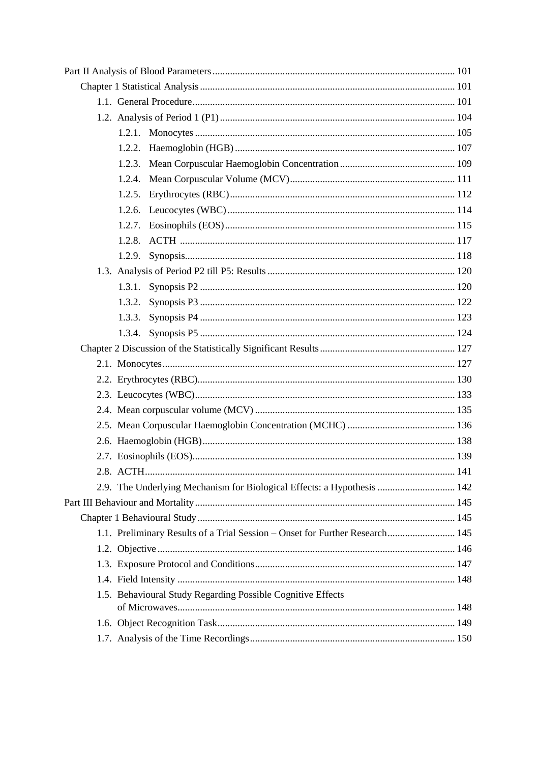| 1.2.2.                                                                       |  |
|------------------------------------------------------------------------------|--|
| 1.2.3.                                                                       |  |
| 1.2.4.                                                                       |  |
| 1.2.5.                                                                       |  |
|                                                                              |  |
|                                                                              |  |
| 1.2.8.                                                                       |  |
| 1.2.9.                                                                       |  |
|                                                                              |  |
|                                                                              |  |
| 1.3.2.                                                                       |  |
| 1.3.3.                                                                       |  |
|                                                                              |  |
|                                                                              |  |
|                                                                              |  |
|                                                                              |  |
|                                                                              |  |
|                                                                              |  |
|                                                                              |  |
|                                                                              |  |
|                                                                              |  |
|                                                                              |  |
| 2.9. The Underlying Mechanism for Biological Effects: a Hypothesis  142      |  |
|                                                                              |  |
|                                                                              |  |
| 1.1. Preliminary Results of a Trial Session – Onset for Further Research 145 |  |
|                                                                              |  |
|                                                                              |  |
|                                                                              |  |
| 1.5. Behavioural Study Regarding Possible Cognitive Effects                  |  |
|                                                                              |  |
|                                                                              |  |
|                                                                              |  |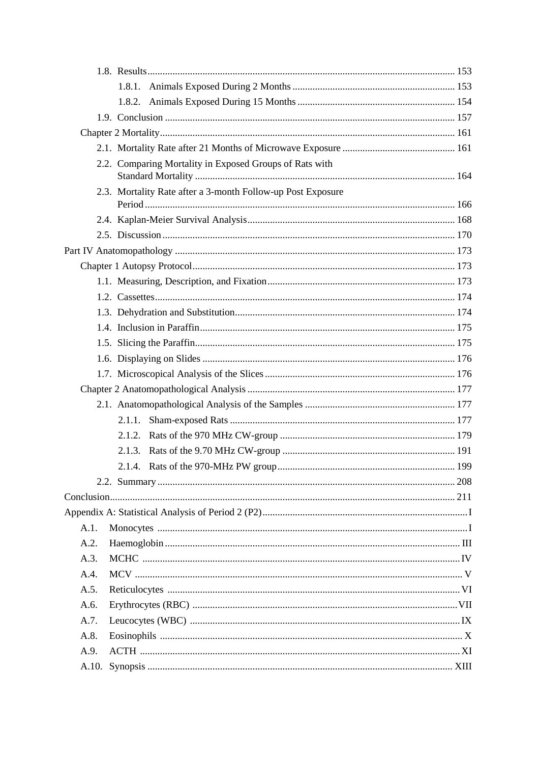|      | 2.2. Comparing Mortality in Exposed Groups of Rats with     |     |
|------|-------------------------------------------------------------|-----|
|      |                                                             |     |
|      | 2.3. Mortality Rate after a 3-month Follow-up Post Exposure |     |
|      |                                                             |     |
|      |                                                             |     |
|      |                                                             |     |
|      |                                                             |     |
|      |                                                             |     |
|      |                                                             |     |
|      |                                                             |     |
|      |                                                             |     |
|      |                                                             |     |
|      |                                                             |     |
|      |                                                             |     |
|      |                                                             |     |
|      |                                                             |     |
|      |                                                             |     |
|      |                                                             |     |
|      | 2.1.2.                                                      |     |
|      |                                                             |     |
|      |                                                             |     |
|      |                                                             | 208 |
|      |                                                             |     |
|      |                                                             |     |
| A.1. |                                                             |     |
| A.2. |                                                             |     |
| A.3. |                                                             |     |
| A.4. |                                                             |     |
| A.5. |                                                             |     |
| A.6. |                                                             |     |
| A.7. |                                                             |     |
| A.8. |                                                             |     |
| A.9. |                                                             |     |
|      |                                                             |     |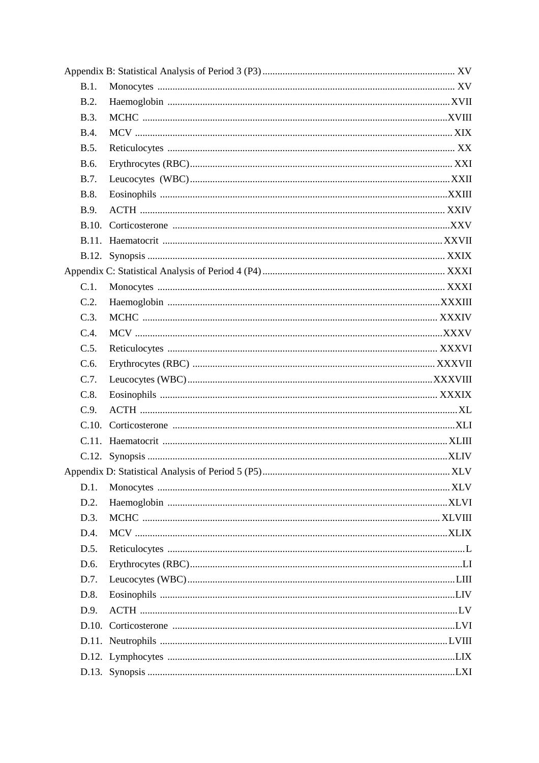| B.1.        |  |
|-------------|--|
| B.2.        |  |
| <b>B.3.</b> |  |
| <b>B.4.</b> |  |
| B.5.        |  |
| B.6.        |  |
| <b>B.7.</b> |  |
| <b>B.8.</b> |  |
| <b>B.9.</b> |  |
|             |  |
|             |  |
|             |  |
|             |  |
| C.1.        |  |
| C.2.        |  |
| C.3.        |  |
| C.4.        |  |
| C.5.        |  |
| C.6.        |  |
|             |  |
| C.7.        |  |
| C.8.        |  |
| C.9.        |  |
| C.10.       |  |
|             |  |
|             |  |
|             |  |
| D.1.        |  |
| D.2.        |  |
| D.3.        |  |
| D.4.        |  |
| D.5.        |  |
| D.6.        |  |
| D.7.        |  |
| D.8.        |  |
| D.9.        |  |
|             |  |
|             |  |
|             |  |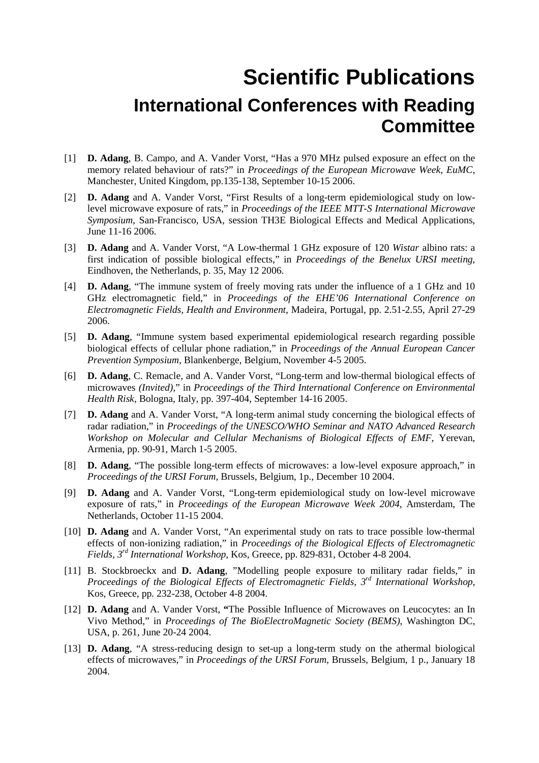### **Scientific Publications International Conferences with Reading Committee**

- [1] **D. Adang**, B. Campo, and A. Vander Vorst, "Has a 970 MHz pulsed exposure an effect on the memory related behaviour of rats?" in *Proceedings of the European Microwave Week*, *EuMC*, Manchester, United Kingdom, pp.135-138, September 10-15 2006.
- [2] **D. Adang** and A. Vander Vorst, "First Results of a long-term epidemiological study on lowlevel microwave exposure of rats," in *Proceedings of the IEEE MTT-S International Microwave Symposium*, San-Francisco, USA, session TH3E Biological Effects and Medical Applications, June 11-16 2006.
- [3] **D. Adang** and A. Vander Vorst, "A Low-thermal 1 GHz exposure of 120 *Wistar* albino rats: a first indication of possible biological effects," in *Proceedings of the Benelux URSI meeting*, Eindhoven, the Netherlands, p. 35, May 12 2006.
- [4] **D. Adang**, "The immune system of freely moving rats under the influence of a 1 GHz and 10 GHz electromagnetic field," in *Proceedings of the EHE'06 International Conference on Electromagnetic Fields, Health and Environment*, Madeira, Portugal, pp. 2.51-2.55, April 27-29 2006.
- [5] **D. Adang**, "Immune system based experimental epidemiological research regarding possible biological effects of cellular phone radiation," in *Proceedings of the Annual European Cancer Prevention Symposium*, Blankenberge, Belgium, November 4-5 2005.
- [6] **D. Adang**, C. Remacle, and A. Vander Vorst, "Long-term and low-thermal biological effects of microwaves *(Invited)*," in *Proceedings of the Third International Conference on Environmental Health Risk*, Bologna, Italy, pp. 397-404, September 14-16 2005.
- [7] **D. Adang** and A. Vander Vorst, "A long-term animal study concerning the biological effects of radar radiation," in *Proceedings of the UNESCO/WHO Seminar and NATO Advanced Research Workshop on Molecular and Cellular Mechanisms of Biological Effects of EMF*, Yerevan, Armenia, pp. 90-91, March 1-5 2005.
- [8] **D. Adang**, "The possible long-term effects of microwaves: a low-level exposure approach," in *Proceedings of the URSI Forum*, Brussels, Belgium, 1p., December 10 2004.
- [9] **D. Adang** and A. Vander Vorst, "Long-term epidemiological study on low-level microwave exposure of rats," in *Proceedings of the European Microwave Week 2004*, Amsterdam, The Netherlands, October 11-15 2004.
- [10] **D. Adang** and A. Vander Vorst, "An experimental study on rats to trace possible low-thermal effects of non-ionizing radiation," in *Proceedings of the Biological Effects of Electromagnetic Fields, 3rd International Workshop*, Kos, Greece, pp. 829-831, October 4-8 2004.
- [11] B. Stockbroeckx and **D. Adang**, "Modelling people exposure to military radar fields," in *Proceedings of the Biological Effects of Electromagnetic Fields, 3rd International Workshop*, Kos, Greece, pp. 232-238, October 4-8 2004.
- [12] **D. Adang** and A. Vander Vorst, **"**The Possible Influence of Microwaves on Leucocytes: an In Vivo Method," in *Proceedings of The BioElectroMagnetic Society (BEMS)*, Washington DC, USA, p. 261, June 20-24 2004.
- [13] **D. Adang**, "A stress-reducing design to set-up a long-term study on the athermal biological effects of microwaves," in *Proceedings of the URSI Forum*, Brussels, Belgium, 1 p., January 18 2004.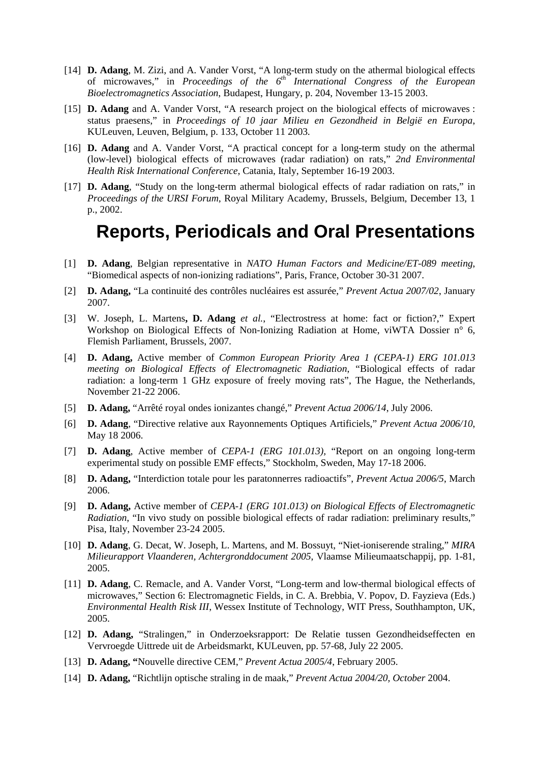- [14] **D. Adang**, M. Zizi, and A. Vander Vorst, "A long-term study on the athermal biological effects of microwaves," in *Proceedings of the 6th International Congress of the European Bioelectromagnetics Association*, Budapest, Hungary, p. 204, November 13-15 2003.
- [15] **D. Adang** and A. Vander Vorst, "A research project on the biological effects of microwaves : status praesens," in *Proceedings of 10 jaar Milieu en Gezondheid in België en Europa*, KULeuven, Leuven, Belgium, p. 133, October 11 2003.
- [16] **D. Adang** and A. Vander Vorst, "A practical concept for a long-term study on the athermal (low-level) biological effects of microwaves (radar radiation) on rats," *2nd Environmental Health Risk International Conference*, Catania, Italy, September 16-19 2003.
- [17] **D. Adang**, "Study on the long-term athermal biological effects of radar radiation on rats," in *Proceedings of the URSI Forum*, Royal Military Academy, Brussels, Belgium, December 13, 1 p., 2002.

### **Reports, Periodicals and Oral Presentations**

- [1] **D. Adang**, Belgian representative in *NATO Human Factors and Medicine/ET-089 meeting*, "Biomedical aspects of non-ionizing radiations", Paris, France, October 30-31 2007.
- [2] **D. Adang,** "La continuité des contrôles nucléaires est assurée," *Prevent Actua 2007/02*, January 2007.
- [3] W. Joseph, L. Martens**, D. Adang** *et al.*, "Electrostress at home: fact or fiction?," Expert Workshop on Biological Effects of Non-Ionizing Radiation at Home, viWTA Dossier n° 6, Flemish Parliament, Brussels, 2007.
- [4] **D. Adang,** Active member of *Common European Priority Area 1 (CEPA-1) ERG 101.013 meeting on Biological Effects of Electromagnetic Radiation*, "Biological effects of radar radiation: a long-term 1 GHz exposure of freely moving rats", The Hague, the Netherlands, November 21-22 2006.
- [5] **D. Adang,** "Arrêté royal ondes ionizantes changé," *Prevent Actua 2006/14*, July 2006.
- [6] **D. Adang**, "Directive relative aux Rayonnements Optiques Artificiels," *Prevent Actua 2006/10*, May 18 2006.
- [7] **D. Adang**, Active member of *CEPA-1 (ERG 101.013),* "Report on an ongoing long-term experimental study on possible EMF effects," Stockholm, Sweden, May 17-18 2006.
- [8] **D. Adang,** "Interdiction totale pour les paratonnerres radioactifs", *Prevent Actua 2006/5*, March 2006.
- [9] **D. Adang,** Active member of *CEPA-1 (ERG 101.013) on Biological Effects of Electromagnetic Radiation*, "In vivo study on possible biological effects of radar radiation: preliminary results," Pisa, Italy, November 23-24 2005.
- [10] **D. Adang**, G. Decat, W. Joseph, L. Martens, and M. Bossuyt, "Niet-ioniserende straling," *MIRA Milieurapport Vlaanderen, Achtergronddocument 2005*, Vlaamse Milieumaatschappij, pp. 1-81, 2005.
- [11] **D. Adang**, C. Remacle, and A. Vander Vorst, "Long-term and low-thermal biological effects of microwaves," Section 6: Electromagnetic Fields, in C. A. Brebbia, V. Popov, D. Fayzieva (Eds.) *Environmental Health Risk III*, Wessex Institute of Technology, WIT Press, Southhampton, UK, 2005.
- [12] **D. Adang,** "Stralingen," in Onderzoeksrapport: De Relatie tussen Gezondheidseffecten en Vervroegde Uittrede uit de Arbeidsmarkt, KULeuven, pp. 57-68, July 22 2005.
- [13] **D. Adang, "**Nouvelle directive CEM," *Prevent Actua 2005/4*, February 2005.
- [14] **D. Adang,** "Richtlijn optische straling in de maak," *Prevent Actua 2004/20, October* 2004.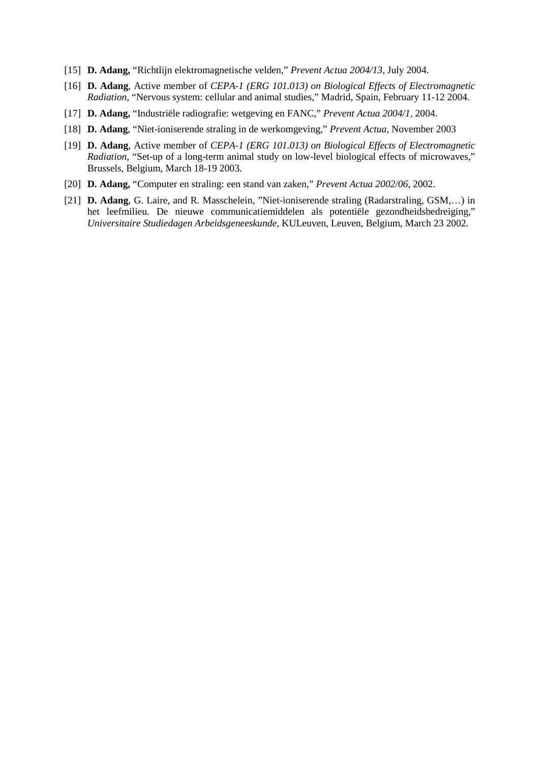- [15] **D. Adang,** "Richtlijn elektromagnetische velden," *Prevent Actua 2004/13*, July 2004.
- [16] **D. Adang**, Active member of *CEPA-1 (ERG 101.013) on Biological Effects of Electromagnetic Radiation*, "Nervous system: cellular and animal studies," Madrid, Spain, February 11-12 2004.
- [17] **D. Adang,** "Industriële radiografie: wetgeving en FANC," *Prevent Actua 2004/1*, 2004.
- [18] **D. Adang**, "Niet-ioniserende straling in de werkomgeving," *Prevent Actua*, November 2003
- [19] **D. Adang**, Active member of *CEPA-1 (ERG 101.013) on Biological Effects of Electromagnetic Radiation*, "Set-up of a long-term animal study on low-level biological effects of microwaves," Brussels, Belgium, March 18-19 2003.
- [20] **D. Adang,** "Computer en straling: een stand van zaken," *Prevent Actua 2002/06*, 2002.
- [21] **D. Adang**, G. Laire, and R. Masschelein, "Niet-ioniserende straling (Radarstraling, GSM,…) in het leefmilieu. De nieuwe communicatiemiddelen als potentiële gezondheidsbedreiging," *Universitaire Studiedagen Arbeidsgeneeskunde*, KULeuven, Leuven, Belgium, March 23 2002.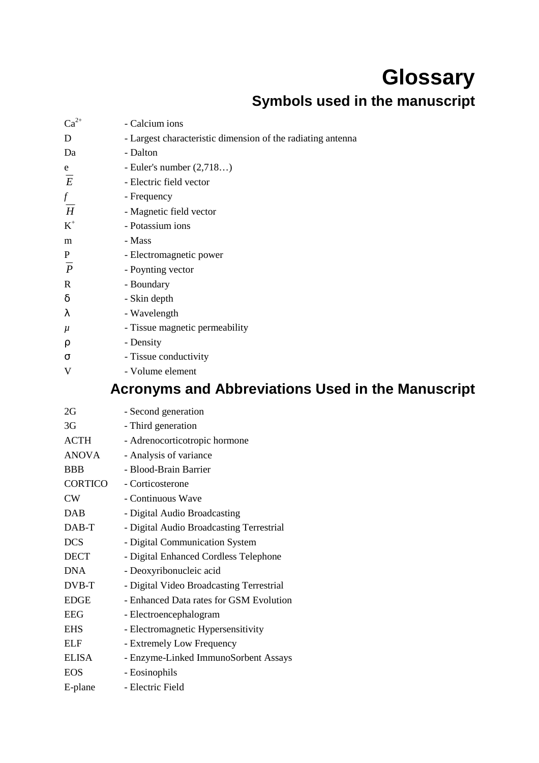### **Glossary Symbols used in the manuscript**

| $Ca^{2+}$      | - Calcium ions                                              |
|----------------|-------------------------------------------------------------|
| D              | - Largest characteristic dimension of the radiating antenna |
| Da             | - Dalton                                                    |
| $\mathbf{e}$   | - Euler's number $(2,718)$                                  |
| $\overline{E}$ | - Electric field vector                                     |
|                | - Frequency                                                 |
| $\frac{f}{H}$  | - Magnetic field vector                                     |
| $K^+$          | - Potassium ions                                            |
| m              | - Mass                                                      |
| ${\bf P}$      | - Electromagnetic power                                     |
| $\overline{P}$ | - Poynting vector                                           |
| $\mathbf R$    | - Boundary                                                  |
| $\delta$       | - Skin depth                                                |
| λ              | - Wavelength                                                |
| $\mu$          | - Tissue magnetic permeability                              |
| ρ              | - Density                                                   |
| σ              | - Tissue conductivity                                       |
| V              | - Volume element                                            |
|                | Assessmented Abbreviations Hood in the Menue                |

#### **Acronyms and Abbreviations Used in the Manuscript**

| 2G           | - Second generation                      |
|--------------|------------------------------------------|
| 3G           | - Third generation                       |
| <b>ACTH</b>  | - Adrenocorticotropic hormone            |
| ANOVA        | - Analysis of variance                   |
| <b>BBB</b>   | - Blood-Brain Barrier                    |
| CORTICO      | - Corticosterone                         |
| CW           | - Continuous Wave                        |
| <b>DAB</b>   | - Digital Audio Broadcasting             |
| DAB-T        | - Digital Audio Broadcasting Terrestrial |
| <b>DCS</b>   | - Digital Communication System           |
| <b>DECT</b>  | - Digital Enhanced Cordless Telephone    |
| <b>DNA</b>   | - Deoxyribonucleic acid                  |
| DVB-T        | - Digital Video Broadcasting Terrestrial |
| <b>EDGE</b>  | - Enhanced Data rates for GSM Evolution  |
| <b>EEG</b>   | - Electroencephalogram                   |
| <b>EHS</b>   | - Electromagnetic Hypersensitivity       |
| <b>ELF</b>   | - Extremely Low Frequency                |
| <b>ELISA</b> | - Enzyme-Linked ImmunoSorbent Assays     |
| <b>EOS</b>   | - Eosinophils                            |
| E-plane      | - Electric Field                         |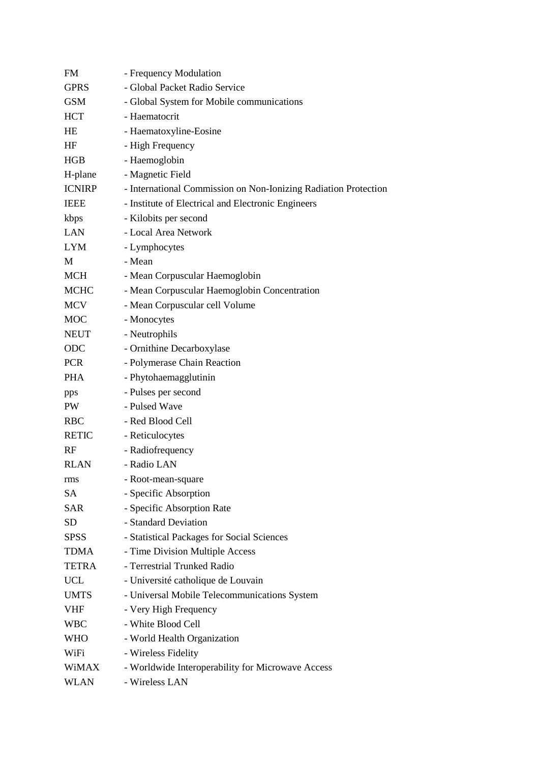| <b>FM</b>     | - Frequency Modulation                                          |
|---------------|-----------------------------------------------------------------|
| <b>GPRS</b>   | - Global Packet Radio Service                                   |
| <b>GSM</b>    | - Global System for Mobile communications                       |
| <b>HCT</b>    | - Haematocrit                                                   |
| HE            | - Haematoxyline-Eosine                                          |
| HF            | - High Frequency                                                |
| HGB           | - Haemoglobin                                                   |
| H-plane       | - Magnetic Field                                                |
| <b>ICNIRP</b> | - International Commission on Non-Ionizing Radiation Protection |
| <b>IEEE</b>   | - Institute of Electrical and Electronic Engineers              |
| kbps          | - Kilobits per second                                           |
| <b>LAN</b>    | - Local Area Network                                            |
| LYM           | - Lymphocytes                                                   |
| M             | - Mean                                                          |
| <b>MCH</b>    | - Mean Corpuscular Haemoglobin                                  |
| <b>MCHC</b>   | - Mean Corpuscular Haemoglobin Concentration                    |
| <b>MCV</b>    | - Mean Corpuscular cell Volume                                  |
| <b>MOC</b>    | - Monocytes                                                     |
| <b>NEUT</b>   | - Neutrophils                                                   |
| ODC           | - Ornithine Decarboxylase                                       |
| <b>PCR</b>    | - Polymerase Chain Reaction                                     |
| <b>PHA</b>    | - Phytohaemagglutinin                                           |
| pps           | - Pulses per second                                             |
| PW            | - Pulsed Wave                                                   |
| <b>RBC</b>    | - Red Blood Cell                                                |
| <b>RETIC</b>  | - Reticulocytes                                                 |
| RF            | - Radiofrequency                                                |
| <b>RLAN</b>   | - Radio LAN                                                     |
| rms           | - Root-mean-square                                              |
| SА            | - Specific Absorption                                           |
| SAR           | - Specific Absorption Rate                                      |
| <b>SD</b>     | - Standard Deviation                                            |
| <b>SPSS</b>   | - Statistical Packages for Social Sciences                      |
| TDMA          | - Time Division Multiple Access                                 |
| <b>TETRA</b>  | - Terrestrial Trunked Radio                                     |
| <b>UCL</b>    | - Université catholique de Louvain                              |
| <b>UMTS</b>   | - Universal Mobile Telecommunications System                    |
| VHF           | - Very High Frequency                                           |
| WBC           | - White Blood Cell                                              |
| <b>WHO</b>    | - World Health Organization                                     |
| WiFi          | - Wireless Fidelity                                             |
| WiMAX         | - Worldwide Interoperability for Microwave Access               |
| WLAN          | - Wireless LAN                                                  |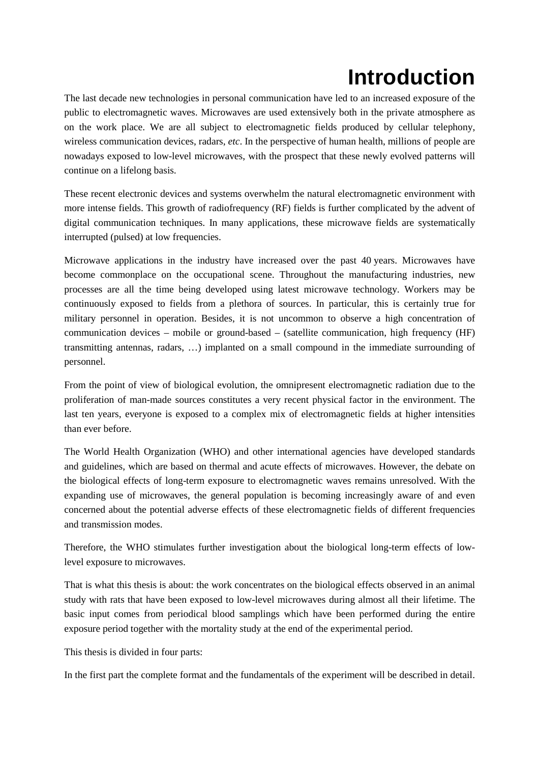## **Introduction**

The last decade new technologies in personal communication have led to an increased exposure of the public to electromagnetic waves. Microwaves are used extensively both in the private atmosphere as on the work place. We are all subject to electromagnetic fields produced by cellular telephony, wireless communication devices, radars, *etc*. In the perspective of human health, millions of people are nowadays exposed to low-level microwaves, with the prospect that these newly evolved patterns will continue on a lifelong basis.

These recent electronic devices and systems overwhelm the natural electromagnetic environment with more intense fields. This growth of radiofrequency (RF) fields is further complicated by the advent of digital communication techniques. In many applications, these microwave fields are systematically interrupted (pulsed) at low frequencies.

Microwave applications in the industry have increased over the past 40 years. Microwaves have become commonplace on the occupational scene. Throughout the manufacturing industries, new processes are all the time being developed using latest microwave technology. Workers may be continuously exposed to fields from a plethora of sources. In particular, this is certainly true for military personnel in operation. Besides, it is not uncommon to observe a high concentration of communication devices – mobile or ground-based – (satellite communication, high frequency (HF) transmitting antennas, radars, …) implanted on a small compound in the immediate surrounding of personnel.

From the point of view of biological evolution, the omnipresent electromagnetic radiation due to the proliferation of man-made sources constitutes a very recent physical factor in the environment. The last ten years, everyone is exposed to a complex mix of electromagnetic fields at higher intensities than ever before.

The World Health Organization (WHO) and other international agencies have developed standards and guidelines, which are based on thermal and acute effects of microwaves. However, the debate on the biological effects of long-term exposure to electromagnetic waves remains unresolved. With the expanding use of microwaves, the general population is becoming increasingly aware of and even concerned about the potential adverse effects of these electromagnetic fields of different frequencies and transmission modes.

Therefore, the WHO stimulates further investigation about the biological long-term effects of lowlevel exposure to microwaves.

That is what this thesis is about: the work concentrates on the biological effects observed in an animal study with rats that have been exposed to low-level microwaves during almost all their lifetime. The basic input comes from periodical blood samplings which have been performed during the entire exposure period together with the mortality study at the end of the experimental period.

This thesis is divided in four parts:

In the first part the complete format and the fundamentals of the experiment will be described in detail.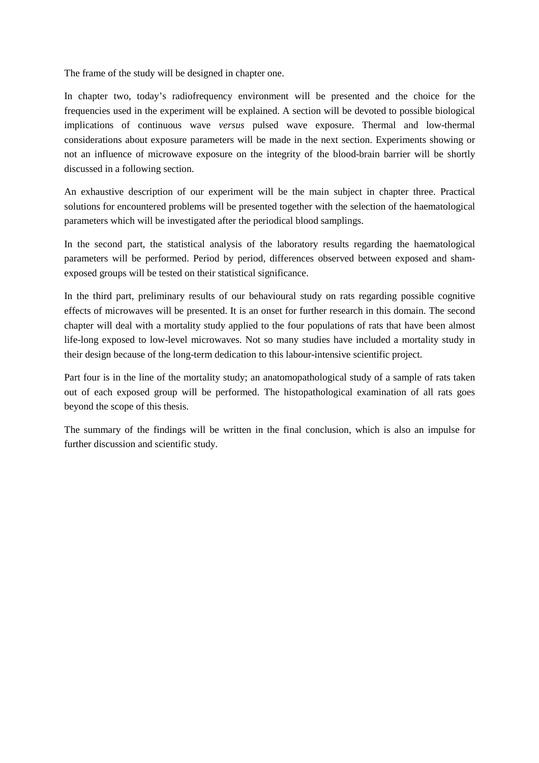The frame of the study will be designed in chapter one.

In chapter two, today's radiofrequency environment will be presented and the choice for the frequencies used in the experiment will be explained. A section will be devoted to possible biological implications of continuous wave *versus* pulsed wave exposure. Thermal and low-thermal considerations about exposure parameters will be made in the next section. Experiments showing or not an influence of microwave exposure on the integrity of the blood-brain barrier will be shortly discussed in a following section.

An exhaustive description of our experiment will be the main subject in chapter three. Practical solutions for encountered problems will be presented together with the selection of the haematological parameters which will be investigated after the periodical blood samplings.

In the second part, the statistical analysis of the laboratory results regarding the haematological parameters will be performed. Period by period, differences observed between exposed and shamexposed groups will be tested on their statistical significance.

In the third part, preliminary results of our behavioural study on rats regarding possible cognitive effects of microwaves will be presented. It is an onset for further research in this domain. The second chapter will deal with a mortality study applied to the four populations of rats that have been almost life-long exposed to low-level microwaves. Not so many studies have included a mortality study in their design because of the long-term dedication to this labour-intensive scientific project.

Part four is in the line of the mortality study; an anatomopathological study of a sample of rats taken out of each exposed group will be performed. The histopathological examination of all rats goes beyond the scope of this thesis.

The summary of the findings will be written in the final conclusion, which is also an impulse for further discussion and scientific study.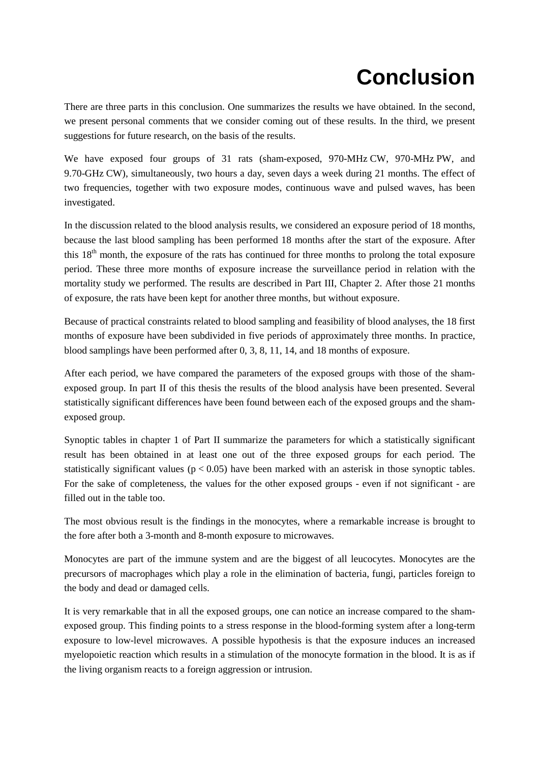## **Conclusion**

There are three parts in this conclusion. One summarizes the results we have obtained. In the second, we present personal comments that we consider coming out of these results. In the third, we present suggestions for future research, on the basis of the results.

We have exposed four groups of 31 rats (sham-exposed, 970-MHz CW, 970-MHz PW, and 9.70-GHz CW), simultaneously, two hours a day, seven days a week during 21 months. The effect of two frequencies, together with two exposure modes, continuous wave and pulsed waves, has been investigated.

In the discussion related to the blood analysis results, we considered an exposure period of 18 months, because the last blood sampling has been performed 18 months after the start of the exposure. After this 18<sup>th</sup> month, the exposure of the rats has continued for three months to prolong the total exposure period. These three more months of exposure increase the surveillance period in relation with the mortality study we performed. The results are described in Part III, Chapter 2. After those 21 months of exposure, the rats have been kept for another three months, but without exposure.

Because of practical constraints related to blood sampling and feasibility of blood analyses, the 18 first months of exposure have been subdivided in five periods of approximately three months. In practice, blood samplings have been performed after 0, 3, 8, 11, 14, and 18 months of exposure.

After each period, we have compared the parameters of the exposed groups with those of the shamexposed group. In part II of this thesis the results of the blood analysis have been presented. Several statistically significant differences have been found between each of the exposed groups and the shamexposed group.

Synoptic tables in chapter 1 of Part II summarize the parameters for which a statistically significant result has been obtained in at least one out of the three exposed groups for each period. The statistically significant values ( $p < 0.05$ ) have been marked with an asterisk in those synoptic tables. For the sake of completeness, the values for the other exposed groups - even if not significant - are filled out in the table too.

The most obvious result is the findings in the monocytes, where a remarkable increase is brought to the fore after both a 3-month and 8-month exposure to microwaves.

Monocytes are part of the immune system and are the biggest of all leucocytes. Monocytes are the precursors of macrophages which play a role in the elimination of bacteria, fungi, particles foreign to the body and dead or damaged cells.

It is very remarkable that in all the exposed groups, one can notice an increase compared to the shamexposed group. This finding points to a stress response in the blood-forming system after a long-term exposure to low-level microwaves. A possible hypothesis is that the exposure induces an increased myelopoietic reaction which results in a stimulation of the monocyte formation in the blood. It is as if the living organism reacts to a foreign aggression or intrusion.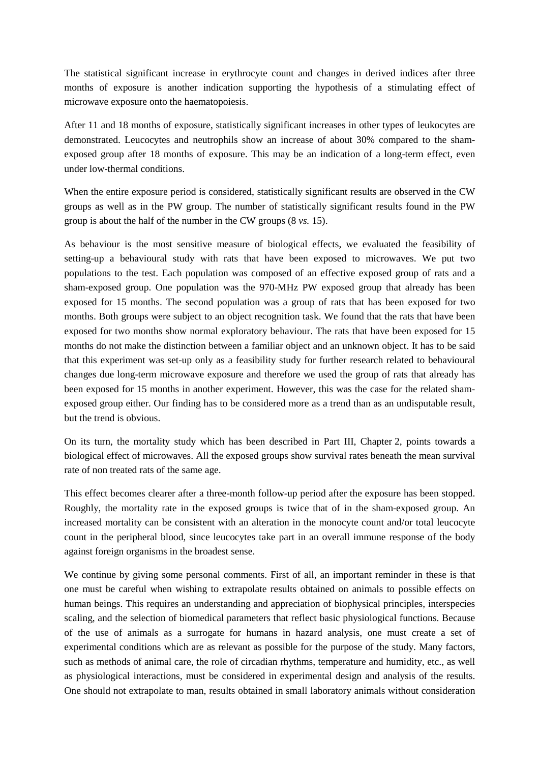The statistical significant increase in erythrocyte count and changes in derived indices after three months of exposure is another indication supporting the hypothesis of a stimulating effect of microwave exposure onto the haematopoiesis.

After 11 and 18 months of exposure, statistically significant increases in other types of leukocytes are demonstrated. Leucocytes and neutrophils show an increase of about 30% compared to the shamexposed group after 18 months of exposure. This may be an indication of a long-term effect, even under low-thermal conditions.

When the entire exposure period is considered, statistically significant results are observed in the CW groups as well as in the PW group. The number of statistically significant results found in the PW group is about the half of the number in the CW groups (8 *vs.* 15).

As behaviour is the most sensitive measure of biological effects, we evaluated the feasibility of setting-up a behavioural study with rats that have been exposed to microwaves. We put two populations to the test. Each population was composed of an effective exposed group of rats and a sham-exposed group. One population was the 970-MHz PW exposed group that already has been exposed for 15 months. The second population was a group of rats that has been exposed for two months. Both groups were subject to an object recognition task. We found that the rats that have been exposed for two months show normal exploratory behaviour. The rats that have been exposed for 15 months do not make the distinction between a familiar object and an unknown object. It has to be said that this experiment was set-up only as a feasibility study for further research related to behavioural changes due long-term microwave exposure and therefore we used the group of rats that already has been exposed for 15 months in another experiment. However, this was the case for the related shamexposed group either. Our finding has to be considered more as a trend than as an undisputable result, but the trend is obvious.

On its turn, the mortality study which has been described in Part III, Chapter 2, points towards a biological effect of microwaves. All the exposed groups show survival rates beneath the mean survival rate of non treated rats of the same age.

This effect becomes clearer after a three-month follow-up period after the exposure has been stopped. Roughly, the mortality rate in the exposed groups is twice that of in the sham-exposed group. An increased mortality can be consistent with an alteration in the monocyte count and/or total leucocyte count in the peripheral blood, since leucocytes take part in an overall immune response of the body against foreign organisms in the broadest sense.

We continue by giving some personal comments. First of all, an important reminder in these is that one must be careful when wishing to extrapolate results obtained on animals to possible effects on human beings. This requires an understanding and appreciation of biophysical principles, interspecies scaling, and the selection of biomedical parameters that reflect basic physiological functions. Because of the use of animals as a surrogate for humans in hazard analysis, one must create a set of experimental conditions which are as relevant as possible for the purpose of the study. Many factors, such as methods of animal care, the role of circadian rhythms, temperature and humidity, etc., as well as physiological interactions, must be considered in experimental design and analysis of the results. One should not extrapolate to man, results obtained in small laboratory animals without consideration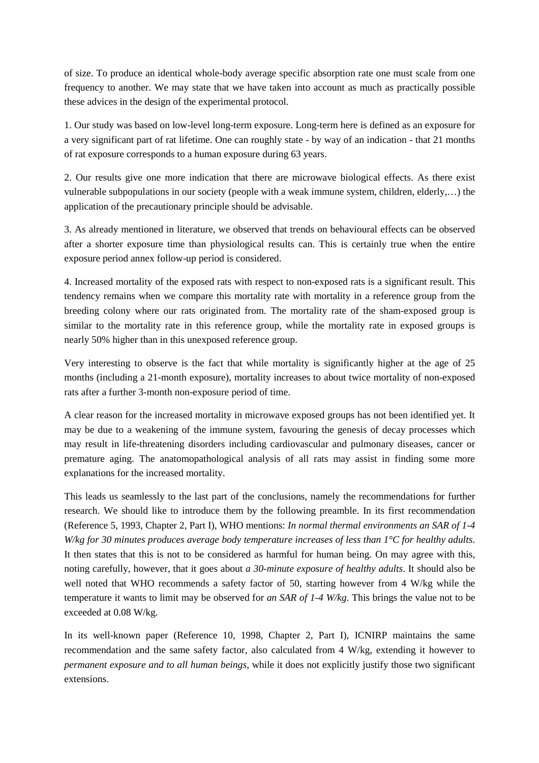of size. To produce an identical whole-body average specific absorption rate one must scale from one frequency to another. We may state that we have taken into account as much as practically possible these advices in the design of the experimental protocol.

1. Our study was based on low-level long-term exposure. Long-term here is defined as an exposure for a very significant part of rat lifetime. One can roughly state - by way of an indication - that 21 months of rat exposure corresponds to a human exposure during 63 years.

2. Our results give one more indication that there are microwave biological effects. As there exist vulnerable subpopulations in our society (people with a weak immune system, children, elderly,…) the application of the precautionary principle should be advisable.

3. As already mentioned in literature, we observed that trends on behavioural effects can be observed after a shorter exposure time than physiological results can. This is certainly true when the entire exposure period annex follow-up period is considered.

4. Increased mortality of the exposed rats with respect to non-exposed rats is a significant result. This tendency remains when we compare this mortality rate with mortality in a reference group from the breeding colony where our rats originated from. The mortality rate of the sham-exposed group is similar to the mortality rate in this reference group, while the mortality rate in exposed groups is nearly 50% higher than in this unexposed reference group.

Very interesting to observe is the fact that while mortality is significantly higher at the age of 25 months (including a 21-month exposure), mortality increases to about twice mortality of non-exposed rats after a further 3-month non-exposure period of time.

A clear reason for the increased mortality in microwave exposed groups has not been identified yet. It may be due to a weakening of the immune system, favouring the genesis of decay processes which may result in life-threatening disorders including cardiovascular and pulmonary diseases, cancer or premature aging. The anatomopathological analysis of all rats may assist in finding some more explanations for the increased mortality.

This leads us seamlessly to the last part of the conclusions, namely the recommendations for further research. We should like to introduce them by the following preamble. In its first recommendation (Reference 5, 1993, Chapter 2, Part I), WHO mentions: *In normal thermal environments an SAR of 1-4 W/kg for 30 minutes produces average body temperature increases of less than 1°C for healthy adults*. It then states that this is not to be considered as harmful for human being. On may agree with this, noting carefully, however, that it goes about *a 30-minute exposure of healthy adults*. It should also be well noted that WHO recommends a safety factor of 50, starting however from 4 W/kg while the temperature it wants to limit may be observed for *an SAR of 1-4 W/kg*. This brings the value not to be exceeded at 0.08 W/kg.

In its well-known paper (Reference 10, 1998, Chapter 2, Part I), ICNIRP maintains the same recommendation and the same safety factor, also calculated from 4 W/kg, extending it however to *permanent exposure and to all human beings*, while it does not explicitly justify those two significant extensions.